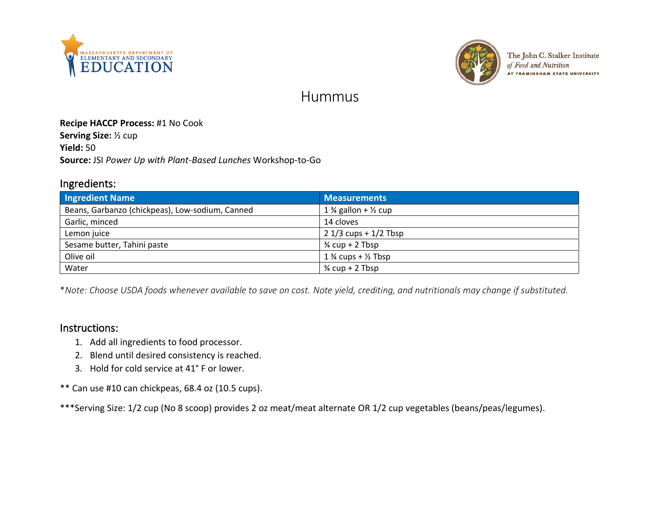



The John C. Stalker Institute of Food and Nutrition AT FRAMINGHAM STATE UNIVERSITY

# Hummus

#### **Recipe HACCP Process:** #1 No Cook

**Serving Size:** ½ cup **Yield:** 50 **Source:** JSI *Power Up with Plant-Based Lunches* Workshop-to-Go

#### Ingredients:

| <b>Ingredient Name</b>                          | <b>Measurements</b>                        |
|-------------------------------------------------|--------------------------------------------|
| Beans, Garbanzo (chickpeas), Low-sodium, Canned | 1 $\frac{3}{4}$ gallon + $\frac{1}{2}$ cup |
| Garlic, minced                                  | 14 cloves                                  |
| Lemon juice                                     | $21/3$ cups + $1/2$ Tbsp                   |
| Sesame butter, Tahini paste                     | $\frac{3}{4}$ cup + 2 Tbsp                 |
| Olive oil                                       | $1\frac{3}{4}$ cups + $\frac{1}{2}$ Tbsp   |
| Water                                           | $\frac{3}{4}$ cup + 2 Tbsp                 |

\**Note: Choose USDA foods whenever available to save on cost. Note yield, crediting, and nutritionals may change if substituted.*

### Instructions:

- 1. Add all ingredients to food processor.
- 2. Blend until desired consistency is reached.
- 3. Hold for cold service at 41° F or lower.

\*\* Can use #10 can chickpeas, 68.4 oz (10.5 cups).

\*\*\*Serving Size: 1/2 cup (No 8 scoop) provides 2 oz meat/meat alternate OR 1/2 cup vegetables (beans/peas/legumes).